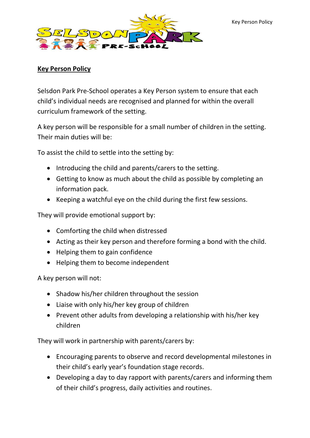

## **Key Person Policy**

Selsdon Park Pre-School operates a Key Person system to ensure that each child's individual needs are recognised and planned for within the overall curriculum framework of the setting.

A key person will be responsible for a small number of children in the setting. Their main duties will be:

To assist the child to settle into the setting by:

- Introducing the child and parents/carers to the setting.
- Getting to know as much about the child as possible by completing an information pack.
- Keeping a watchful eye on the child during the first few sessions.

They will provide emotional support by:

- Comforting the child when distressed
- Acting as their key person and therefore forming a bond with the child.
- Helping them to gain confidence
- Helping them to become independent

A key person will not:

- Shadow his/her children throughout the session
- Liaise with only his/her key group of children
- Prevent other adults from developing a relationship with his/her key children

They will work in partnership with parents/carers by:

- Encouraging parents to observe and record developmental milestones in their child's early year's foundation stage records.
- Developing a day to day rapport with parents/carers and informing them of their child's progress, daily activities and routines.